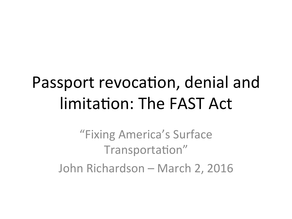## Passport revocation, denial and limitation: The FAST Act

"Fixing America's Surface Transportation" John Richardson – March 2, 2016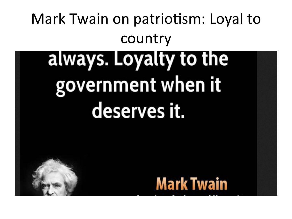# Mark Twain on patriotism: Loyal to country always. Loyalty to the government when it deserves it.

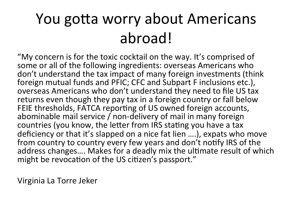### You gotta worry about Americans abroad!(

"My concern is for the toxic cocktail on the way. It's comprised of some or all of the following ingredients: overseas Americans who don't understand the tax impact of many foreign investments (think) foreign mutual funds and PFIC; CFC and Subpart F inclusions etc.), overseas Americans who don't understand they need to file US tax returns even though they pay tax in a foreign country or fall below FEIE thresholds, FATCA reporting of US owned foreign accounts, abominable mail service / non-delivery of mail in many foreign countries (you know, the letter from IRS stating you have a tax deficiency or that it's slapped on a nice fat lien ....), expats who move from country to country every few years and don't notify IRS of the address changes.... Makes for a deadly mix the ultimate result of which might be revocation of the US citizen's passport."

Virginia La Torre Jeker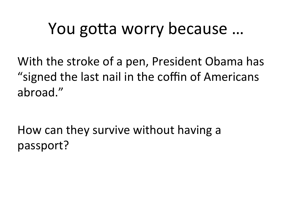### You gotta worry because ...

With the stroke of a pen, President Obama has "signed the last nail in the coffin of Americans abroad."

How can they survive without having a passport?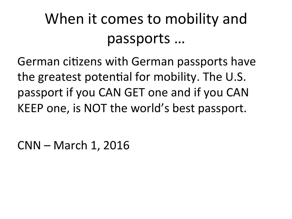### When it comes to mobility and passports ...

German citizens with German passports have the greatest potential for mobility. The U.S. passport if you CAN GET one and if you CAN KEEP one, is NOT the world's best passport.

CNN – March 1, 2016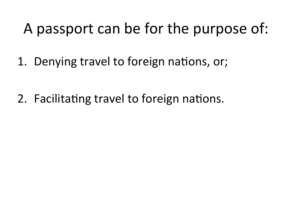#### A passport can be for the purpose of:

1. Denying travel to foreign nations, or;

2. Facilitating travel to foreign nations.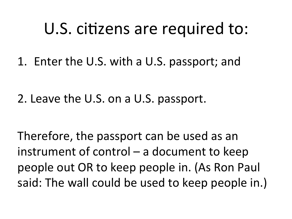### U.S. citizens are required to:

1. Enter the U.S. with a U.S. passport; and

2. Leave the U.S. on a U.S. passport.

Therefore, the passport can be used as an instrument of control – a document to keep people out OR to keep people in. (As Ron Paul said: The wall could be used to keep people in.)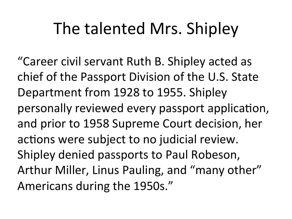### The talented Mrs. Shipley

"Career civil servant Ruth B. Shipley acted as chief of the Passport Division of the U.S. State Department from 1928 to 1955. Shipley personally reviewed every passport application, and prior to 1958 Supreme Court decision, her actions were subject to no judicial review. Shipley denied passports to Paul Robeson, Arthur Miller, Linus Pauling, and "many other" Americans during the 1950s."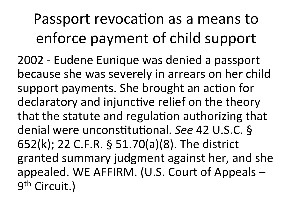### Passport revocation as a means to enforce payment of child support

2002 - Eudene Eunique was denied a passport because she was severely in arrears on her child support payments. She brought an action for declaratory and injunctive relief on the theory that the statute and regulation authorizing that denial were unconstitutional. See 42 U.S.C. § 652(k); 22 C.F.R. § 51.70(a)(8). The district granted summary judgment against her, and she appealed. WE AFFIRM. (U.S. Court of Appeals – 9<sup>th</sup> Circuit.)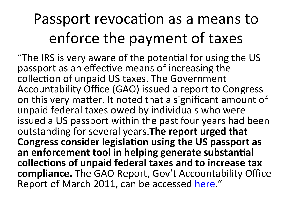#### Passport revocation as a means to enforce the payment of taxes

"The IRS is very aware of the potential for using the US passport as an effective means of increasing the collection of unpaid US taxes. The Government Accountability Office (GAO) issued a report to Congress on this very matter. It noted that a significant amount of unpaid federal taxes owed by individuals who were issued a US passport within the past four years had been outstanding for several years. The report urged that Congress consider legislation using the US passport as an enforcement tool in helping generate substantial collections of unpaid federal taxes and to increase tax compliance. The GAO Report, Gov't Accountability Office Report of March 2011, can be accessed here."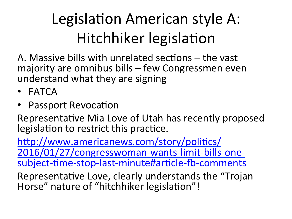### Legislation American style A: Hitchhiker legislation

A. Massive bills with unrelated sections  $-$  the vast majority are omnibus bills – few Congressmen even understand what they are signing

- FATCA
- Passport Revocation

Representative Mia Love of Utah has recently proposed legislation to restrict this practice.

http://www.americanews.com/story/politics/ 2016/01/27/congresswoman-wants-limit-bills-onesubject-time-stop-last-minute#article-fb-comments

Representative Love, clearly understands the "Trojan" Horse" nature of "hitchhiker legislation"!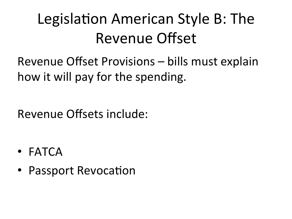### Legislation American Style B: The Revenue Offset

Revenue Offset Provisions – bills must explain how it will pay for the spending.

Revenue Offsets include:

- $\bullet$  FATCA
- Passport Revocation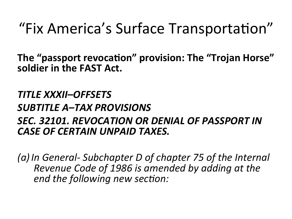#### "Fix America's Surface Transportation"

The "passport revocation" provision: The "Trojan Horse" soldier in the FAST Act.

#### **TITLE XXXII-OFFSETS SUBTITLE A–TAX PROVISIONS** SEC. 32101. REVOCATION OR DENIAL OF PASSPORT IN **CASE OF CERTAIN UNPAID TAXES.**

(a) In General-Subchapter D of chapter 75 of the Internal Revenue Code of 1986 is amended by adding at the end the following new section: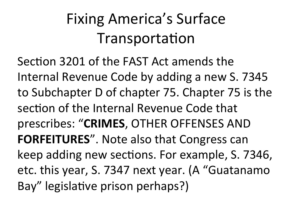### Fixing America's Surface Transportation

Section 3201 of the FAST Act amends the Internal Revenue Code by adding a new S. 7345 to Subchapter D of chapter 75. Chapter 75 is the section of the Internal Revenue Code that prescribes: "CRIMES, OTHER OFFENSES AND FORFEITURES". Note also that Congress can keep adding new sections. For example, S. 7346, etc. this year, S. 7347 next year. (A "Guatanamo Bay" legislative prison perhaps?)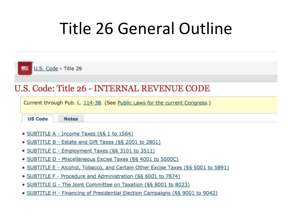### Title 26 General Outline

| $\equiv$ U.S. Code > Title 26                                               |  |  |
|-----------------------------------------------------------------------------|--|--|
| U.S. Code: Title 26 - INTERNAL REVENUE CODE                                 |  |  |
| Current through Pub. L. 114-38. (See Public Laws for the current Congress.) |  |  |
| <b>US Code</b><br><b>Notes</b>                                              |  |  |
| • SUBTITLE A - Income Taxes $(661 to 1564)$                                 |  |  |

- SUBTITLE B Estate and Gift Taxes (§§ 2001 to 2801)
- SUBTITLE C Employment Taxes (§§ 3101 to 3511)
- SUBTITLE D Miscellaneous Excise Taxes (§§ 4001 to 5000C)
- SUBTITLE E Alcohol, Tobacco, and Certain Other Excise Taxes (§§ 5001 to 5891)
- SUBTITLE F Procedure and Administration (§§ 6001 to 7874)
- SUBTITLE G The Joint Committee on Taxation (§§ 8001 to 8023)
- SUBTITLE H Financing of Presidential Election Campaigns (§§ 9001 to 9042)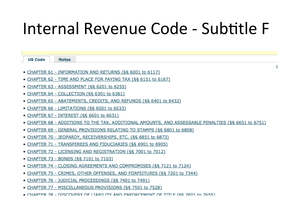### Internal Revenue Code - Subtitle F

Ţ.

| <b>US Code</b><br><b>Notes</b>                                                                            |
|-----------------------------------------------------------------------------------------------------------|
|                                                                                                           |
| • CHAPTER 61 - INFORMATION AND RETURNS (§§ 6001 to 6117)                                                  |
| • CHAPTER 62 - TIME AND PLACE FOR PAYING TAX (§§ 6151 to 6167)                                            |
| • CHAPTER 63 - ASSESSMENT (§§ 6201 to 6255)                                                               |
| • CHAPTER 64 - COLLECTION (§§ 6301 to 6361)                                                               |
| • CHAPTER 65 - ABATEMENTS, CREDITS, AND REFUNDS (§§ 6401 to 6432)                                         |
| <u>• CHAPTER 66 - LIMITATIONS (§§ 6501 to 6533)</u>                                                       |
| • CHAPTER 67 - INTEREST (§§ 6601 to 6631)                                                                 |
| <u> CHAPTER 68 - ADDITIONS TO THE TAX, ADDITIONAL AMOUNTS, AND ASSESSABLE PENALTIES (§§ 6651 to 6751)</u> |
| • CHAPTER 69 - GENERAL PROVISIONS RELATING TO STAMPS (§§ 6801 to 6808)                                    |
| • CHAPTER 70 - JEOPARDY, RECEIVERSHIPS, ETC. (§§ 6851 to 6873)                                            |
| • CHAPTER 71 - TRANSFEREES AND FIDUCIARIES (§§ 6901 to 6905)                                              |
| • CHAPTER 72 - LICENSING AND REGISTRATION (§§ 7001 to 7012)                                               |
| • CHAPTER 73 - BONDS (§§ 7101 to 7103)                                                                    |
| • CHAPTER 74 - CLOSING AGREEMENTS AND COMPROMISES (§§ 7121 to 7124)                                       |
| • CHAPTER 75 - CRIMES, OTHER OFFENSES, AND FORFEITURES (§§ 7201 to 7344)                                  |
| • CHAPTER 76 - JUDICIAL PROCEEDINGS (§§ 7401 to 7491)                                                     |
| • CHAPTER 77 - MISCELLANEOUS PROVISIONS (§§ 7501 to 7528)                                                 |
| . CHAPTER 78 - DISCOVERY OF LIARILITY AND ENFORCEMENT OF TITLE (SS 7601 to 7655)                          |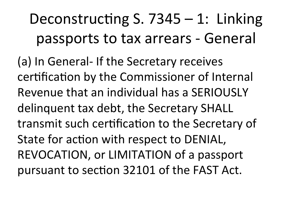Deconstructing S.  $7345 - 1$ : Linking passports to tax arrears - General

(a) In General- If the Secretary receives certification by the Commissioner of Internal Revenue that an individual has a SERIOUSLY delinguent tax debt, the Secretary SHALL transmit such certification to the Secretary of State for action with respect to DENIAL, REVOCATION, or LIMITATION of a passport pursuant to section 32101 of the FAST Act.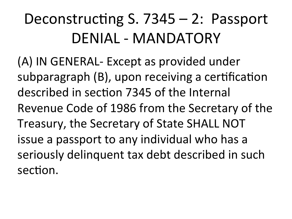### Deconstructing S.  $7345-2$ : Passport DENIAL - MANDATORY

(A) IN GENERAL- Except as provided under subparagraph  $(B)$ , upon receiving a certification described in section 7345 of the Internal Revenue Code of 1986 from the Secretary of the Treasury, the Secretary of State SHALL NOT issue a passport to any individual who has a seriously delinquent tax debt described in such section.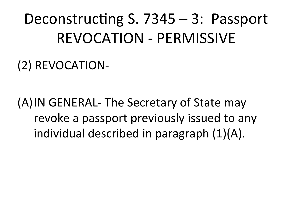Deconstructing S.  $7345 - 3$ : Passport **REVOCATION - PERMISSIVE** 

(2) REVOCATION-

(A) IN GENERAL- The Secretary of State may revoke a passport previously issued to any individual described in paragraph (1)(A).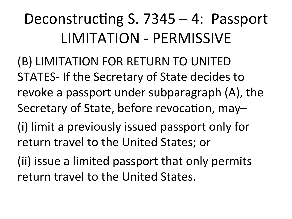### Deconstructing S.  $7345-4$ : Passport LIMITATION - PERMISSIVE

(B) LIMITATION FOR RETURN TO UNITED STATES-If the Secretary of State decides to revoke a passport under subparagraph  $(A)$ , the Secretary of State, before revocation, may-

- (i) limit a previously issued passport only for return travel to the United States; or
- (ii) issue a limited passport that only permits return travel to the United States.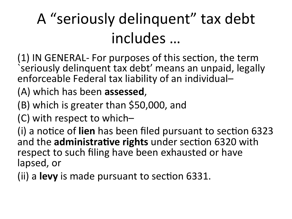### A "seriously delinquent" tax debt includes ...

(1) IN GENERAL- For purposes of this section, the term seriously delinquent tax debt' means an unpaid, legally enforceable Federal tax liability of an individual–

(A) which has been **assessed**,

 $(B)$  which is greater than \$50,000, and

(C) with respect to which–

(i) a notice of lien has been filed pursuant to section 6323 and the administrative rights under section 6320 with respect to such filing have been exhausted or have lapsed, or

(ii) a **levy** is made pursuant to section 6331.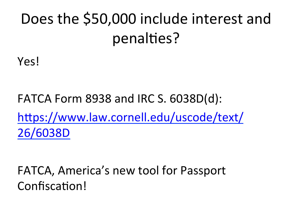### Does the \$50,000 include interest and penalties?

Yes!

FATCA Form 8938 and IRC S. 6038D(d): https://www.law.cornell.edu/uscode/text/ 26/6038D

FATCA, America's new tool for Passport Confiscation!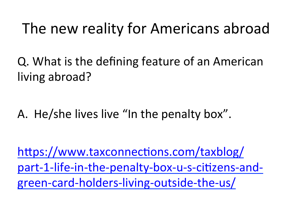#### The new reality for Americans abroad

Q. What is the defining feature of an American living abroad?

A. He/she lives live "In the penalty box".

https://www.taxconnections.com/taxblog/ part-1-life-in-the-penalty-box-u-s-citizens-andgreen-card-holders-living-outside-the-us/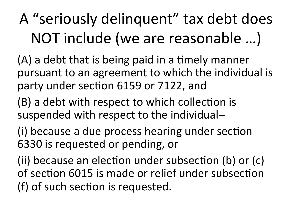### A "seriously delinquent" tax debt does NOT include (we are reasonable ...)

 $(A)$  a debt that is being paid in a timely manner pursuant to an agreement to which the individual is party under section 6159 or 7122, and

 $(B)$  a debt with respect to which collection is suspended with respect to the individual–

(i) because a due process hearing under section 6330 is requested or pending, or

(ii) because an election under subsection (b) or (c) of section 6015 is made or relief under subsection (f) of such section is requested.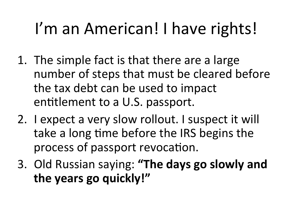## I'm an American! I have rights!

- 1. The simple fact is that there are a large number of steps that must be cleared before the tax debt can be used to impact entitlement to a U.S. passport.
- 2. I expect a very slow rollout. I suspect it will take a long time before the IRS begins the process of passport revocation.
- 3. Old Russian saying: "The days go slowly and the years go quickly!"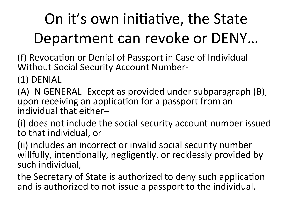### On it's own initiative, the State Department can revoke or DENY...

(f) Revocation or Denial of Passport in Case of Individual Without Social Security Account Number-

 $(1)$  DENIAL-

(A) IN GENERAL- Except as provided under subparagraph (B), upon receiving an application for a passport from an individual that either-

(i) does not include the social security account number issued to that individual, or

(ii) includes an incorrect or invalid social security number willfully, intentionally, negligently, or recklessly provided by such individual,

the Secretary of State is authorized to deny such application and is authorized to not issue a passport to the individual.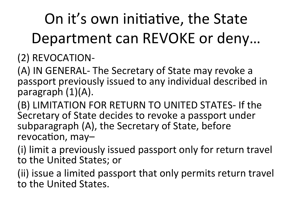### On it's own initiative, the State Department can REVOKE or deny...

#### (2) REVOCATION-

(A) IN GENERAL- The Secretary of State may revoke a passport previously issued to any individual described in paragraph $(1)(A)$ .

(B) LIMITATION FOR RETURN TO UNITED STATES- If the Secretary of State decides to revoke a passport under subparagraph (A), the Secretary of State, before revocation, may-

(i) limit a previously issued passport only for return travel to the United States; or

(ii) issue a limited passport that only permits return travel to the United States.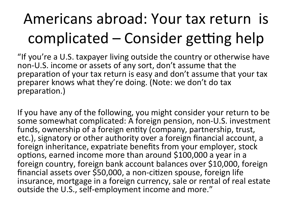### Americans abroad: Your tax return is complicated – Consider getting help

"If you're a U.S. taxpayer living outside the country or otherwise have non-U.S. income or assets of any sort, don't assume that the preparation of your tax return is easy and don't assume that your tax preparer knows what they're doing. (Note: we don't do tax preparation.)

If you have any of the following, you might consider your return to be some somewhat complicated: A foreign pension, non-U.S. investment funds, ownership of a foreign entity (company, partnership, trust, etc.), signatory or other authority over a foreign financial account, a foreign inheritance, expatriate benefits from your employer, stock options, earned income more than around  $$100,000$  a year in a foreign country, foreign bank account balances over \$10,000, foreign financial assets over  $$50,000$ , a non-citizen spouse, foreign life insurance, mortgage in a foreign currency, sale or rental of real estate outside the U.S., self-employment income and more."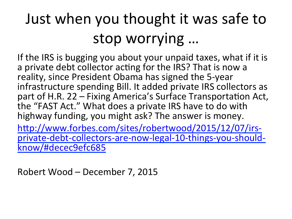### Just when you thought it was safe to stop worrying ...

If the IRS is bugging you about your unpaid taxes, what if it is a private debt collector acting for the IRS? That is now a reality, since President Obama has signed the 5-year infrastructure spending Bill. It added private IRS collectors as part of H.R. 22 – Fixing America's Surface Transportation Act, the "FAST Act." What does a private IRS have to do with highway funding, you might ask? The answer is money.

http://www.forbes.com/sites/robertwood/2015/12/07/irsprivate-debt-collectors-are-now-legal-10-things-you-shouldknow/#decec9efc685

Robert Wood – December 7, 2015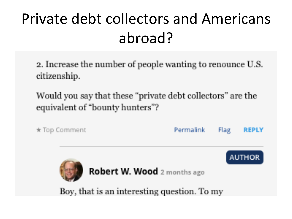### Private debt collectors and Americans abroad?

2. Increase the number of people wanting to renounce U.S. citizenship.

Would you say that these "private debt collectors" are the equivalent of "bounty hunters"?

\* Top Comment Permalink Flag **REPLY AUTHOR** 

Robert W. Wood 2 months ago

Boy, that is an interesting question. To my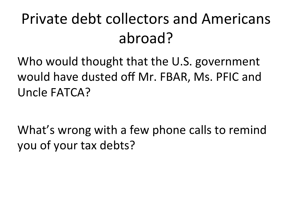### Private debt collectors and Americans abroad?

Who would thought that the U.S. government would have dusted off Mr. FBAR, Ms. PFIC and Uncle FATCA?

What's wrong with a few phone calls to remind you of your tax debts?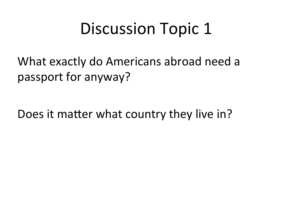### Discussion Topic 1

What exactly do Americans abroad need a passport for anyway?

Does it matter what country they live in?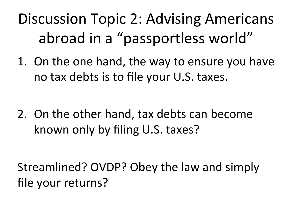### Discussion Topic 2: Advising Americans abroad in a "passportless world"

1. On the one hand, the way to ensure you have no tax debts is to file your U.S. taxes.

2. On the other hand, tax debts can become known only by filing U.S. taxes?

Streamlined? OVDP? Obey the law and simply file your returns?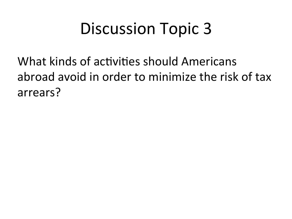### Discussion Topic 3

What kinds of activities should Americans abroad avoid in order to minimize the risk of tax arrears?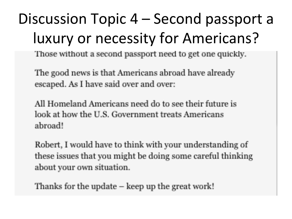### Discussion Topic 4 – Second passport a luxury or necessity for Americans?

Those without a second passport need to get one quickly.

The good news is that Americans abroad have already escaped. As I have said over and over:

All Homeland Americans need do to see their future is look at how the U.S. Government treats Americans abroad!

Robert, I would have to think with your understanding of these issues that you might be doing some careful thinking about your own situation.

Thanks for the update – keep up the great work!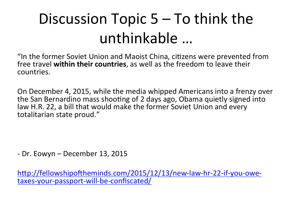### Discussion Topic  $5-$  To think the unthinkable ...

"In the former Soviet Union and Maoist China, citizens were prevented from free travel within their countries, as well as the freedom to leave their countries.

On December 4, 2015, while the media whipped Americans into a frenzy over the San Bernardino mass shooting of 2 days ago, Obama quietly signed into law H.R. 22, a bill that would make the former Soviet Union and every totalitarian state proud."

- Dr. Eowyn – December 13, 2015

http://fellowshipoftheminds.com/2015/12/13/new-law-hr-22-if-you-owetaxes-your-passport-will-be-confiscated/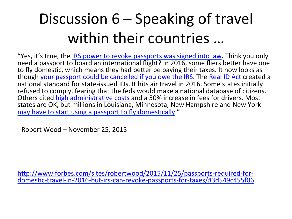### Discussion  $6$  – Speaking of travel within their countries ...

"Yes, it's true, the IRS power to revoke passports was signed into law. Think you only need a passport to board an international flight? In 2016, some fliers better have one to fly domestic, which means they had better be paying their taxes. It now looks as though your passport could be cancelled if you owe the IRS. The Real ID Act created a national standard for state-issued IDs. It hits air travel in 2016. Some states initially refused to comply, fearing that the feds would make a national database of citizens. Others cited high administrative costs</u> and a 50% increase in fees for drivers. Most states are OK, but millions in Louisiana, Minnesota, New Hampshire and New York may have to start using a passport to fly domestically."

- Robert Wood – November 25, 2015

http://www.forbes.com/sites/robertwood/2015/11/25/passports-required-fordomestic-travel-in-2016-but-irs-can-revoke-passports-for-taxes/#3d549c455f06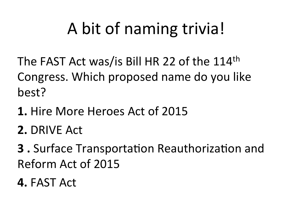## A bit of naming trivia!

The FAST Act was/is Bill HR 22 of the 114th Congress. Which proposed name do you like best?(

- **1.** Hire More Heroes Act of 2015
- **2. DRIVE Act**
- **3**. Surface Transportation Reauthorization and Reform Act of 2015
- **4. FAST Act**